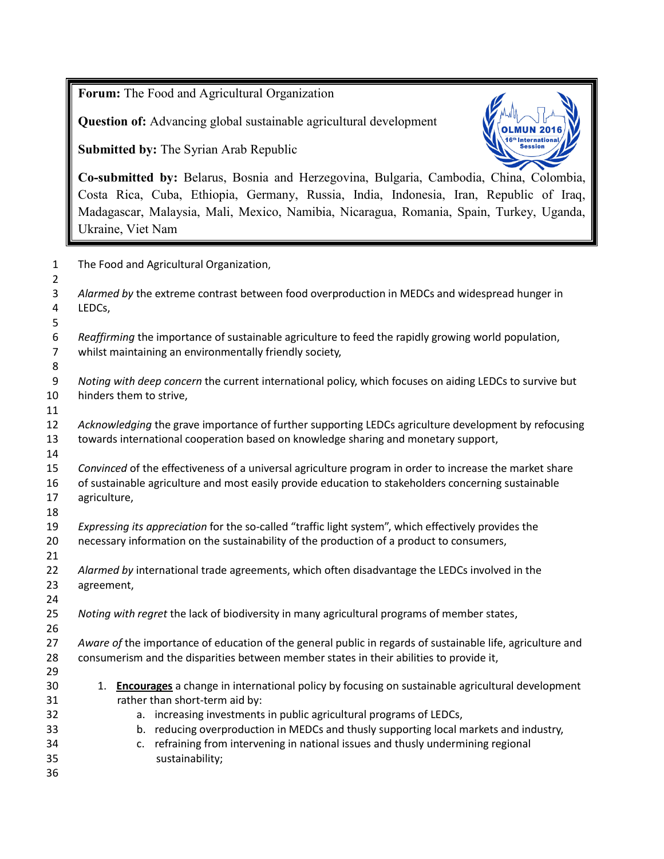**Forum:** The Food and Agricultural Organization

**Question of:** Advancing global sustainable agricultural development

**Submitted by:** The Syrian Arab Republic



**Co-submitted by:** Belarus, Bosnia and Herzegovina, Bulgaria, Cambodia, China, Colombia, Costa Rica, Cuba, Ethiopia, Germany, Russia, India, Indonesia, Iran, Republic of Iraq, Madagascar, Malaysia, Mali, Mexico, Namibia, Nicaragua, Romania, Spain, Turkey, Uganda, Ukraine, Viet Nam

| $\mathbf{1}$                                        | The Food and Agricultural Organization,                                                                                                                                                                                        |  |  |  |  |  |
|-----------------------------------------------------|--------------------------------------------------------------------------------------------------------------------------------------------------------------------------------------------------------------------------------|--|--|--|--|--|
| $\overline{2}$<br>3<br>$\overline{\mathbf{4}}$<br>5 | Alarmed by the extreme contrast between food overproduction in MEDCs and widespread hunger in<br>LEDCs,                                                                                                                        |  |  |  |  |  |
| 6<br>$\overline{7}$<br>8                            | Reaffirming the importance of sustainable agriculture to feed the rapidly growing world population,<br>whilst maintaining an environmentally friendly society,                                                                 |  |  |  |  |  |
| 9<br>10<br>11                                       | Noting with deep concern the current international policy, which focuses on aiding LEDCs to survive but<br>hinders them to strive,                                                                                             |  |  |  |  |  |
| 12<br>13<br>14                                      | Acknowledging the grave importance of further supporting LEDCs agriculture development by refocusing<br>towards international cooperation based on knowledge sharing and monetary support,                                     |  |  |  |  |  |
| 15<br>16<br>17<br>18                                | Convinced of the effectiveness of a universal agriculture program in order to increase the market share<br>of sustainable agriculture and most easily provide education to stakeholders concerning sustainable<br>agriculture, |  |  |  |  |  |
| 19<br>20<br>21                                      | Expressing its appreciation for the so-called "traffic light system", which effectively provides the<br>necessary information on the sustainability of the production of a product to consumers,                               |  |  |  |  |  |
| 22<br>23<br>24                                      | Alarmed by international trade agreements, which often disadvantage the LEDCs involved in the<br>agreement,                                                                                                                    |  |  |  |  |  |
| 25<br>26                                            | Noting with regret the lack of biodiversity in many agricultural programs of member states,                                                                                                                                    |  |  |  |  |  |
| 27<br>28<br>29                                      | Aware of the importance of education of the general public in regards of sustainable life, agriculture and<br>consumerism and the disparities between member states in their abilities to provide it,                          |  |  |  |  |  |
| 30                                                  | Encourages a change in international policy by focusing on sustainable agricultural development<br>1.                                                                                                                          |  |  |  |  |  |
| 31                                                  | rather than short-term aid by:                                                                                                                                                                                                 |  |  |  |  |  |
| 32                                                  | a. increasing investments in public agricultural programs of LEDCs,                                                                                                                                                            |  |  |  |  |  |
| 33                                                  | b. reducing overproduction in MEDCs and thusly supporting local markets and industry,                                                                                                                                          |  |  |  |  |  |
| 34                                                  | refraining from intervening in national issues and thusly undermining regional<br>c.                                                                                                                                           |  |  |  |  |  |
| 35                                                  | sustainability;                                                                                                                                                                                                                |  |  |  |  |  |
| 36                                                  |                                                                                                                                                                                                                                |  |  |  |  |  |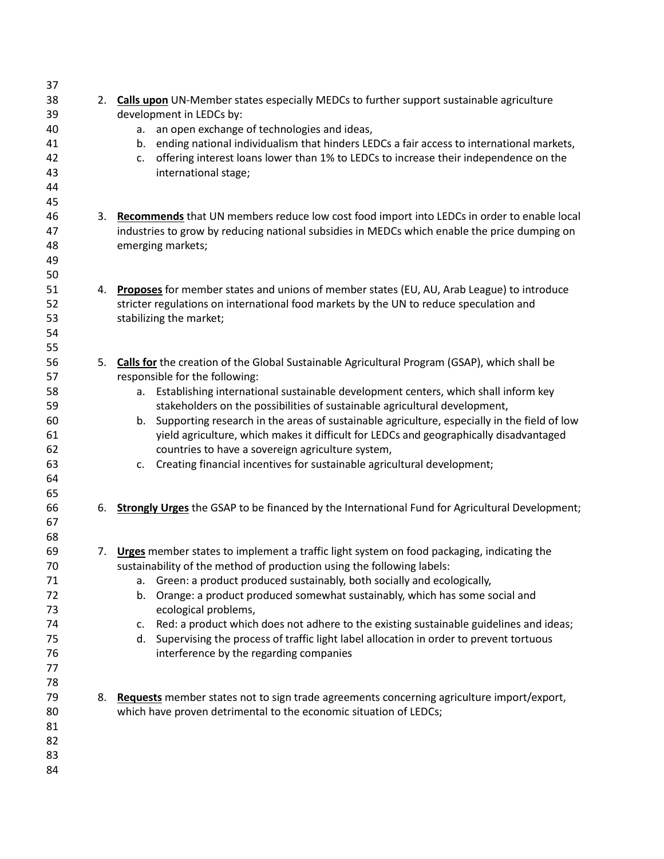| 37 |    |                                                                                                       |  |  |  |  |
|----|----|-------------------------------------------------------------------------------------------------------|--|--|--|--|
| 38 |    | 2. Calls upon UN-Member states especially MEDCs to further support sustainable agriculture            |  |  |  |  |
| 39 |    | development in LEDCs by:                                                                              |  |  |  |  |
| 40 |    | an open exchange of technologies and ideas,<br>a.                                                     |  |  |  |  |
| 41 |    | b. ending national individualism that hinders LEDCs a fair access to international markets,           |  |  |  |  |
| 42 |    | offering interest loans lower than 1% to LEDCs to increase their independence on the<br>c.            |  |  |  |  |
| 43 |    | international stage;                                                                                  |  |  |  |  |
| 44 |    |                                                                                                       |  |  |  |  |
| 45 |    |                                                                                                       |  |  |  |  |
| 46 | 3. | Recommends that UN members reduce low cost food import into LEDCs in order to enable local            |  |  |  |  |
| 47 |    | industries to grow by reducing national subsidies in MEDCs which enable the price dumping on          |  |  |  |  |
| 48 |    | emerging markets;                                                                                     |  |  |  |  |
| 49 |    |                                                                                                       |  |  |  |  |
| 50 |    |                                                                                                       |  |  |  |  |
| 51 | 4. | Proposes for member states and unions of member states (EU, AU, Arab League) to introduce             |  |  |  |  |
| 52 |    | stricter regulations on international food markets by the UN to reduce speculation and                |  |  |  |  |
| 53 |    | stabilizing the market;                                                                               |  |  |  |  |
| 54 |    |                                                                                                       |  |  |  |  |
| 55 |    |                                                                                                       |  |  |  |  |
| 56 |    | 5. Calls for the creation of the Global Sustainable Agricultural Program (GSAP), which shall be       |  |  |  |  |
| 57 |    | responsible for the following:                                                                        |  |  |  |  |
| 58 |    | a. Establishing international sustainable development centers, which shall inform key                 |  |  |  |  |
| 59 |    | stakeholders on the possibilities of sustainable agricultural development,                            |  |  |  |  |
| 60 |    | b. Supporting research in the areas of sustainable agriculture, especially in the field of low        |  |  |  |  |
| 61 |    | yield agriculture, which makes it difficult for LEDCs and geographically disadvantaged                |  |  |  |  |
| 62 |    | countries to have a sovereign agriculture system,                                                     |  |  |  |  |
| 63 |    | Creating financial incentives for sustainable agricultural development;<br>C.                         |  |  |  |  |
| 64 |    |                                                                                                       |  |  |  |  |
| 65 |    |                                                                                                       |  |  |  |  |
| 66 | 6. | <b>Strongly Urges</b> the GSAP to be financed by the International Fund for Agricultural Development; |  |  |  |  |
| 67 |    |                                                                                                       |  |  |  |  |
| 68 |    |                                                                                                       |  |  |  |  |
| 69 |    | 7. Urges member states to implement a traffic light system on food packaging, indicating the          |  |  |  |  |
| 70 |    | sustainability of the method of production using the following labels:                                |  |  |  |  |
| 71 |    | Green: a product produced sustainably, both socially and ecologically,<br>а.                          |  |  |  |  |
| 72 |    | b. Orange: a product produced somewhat sustainably, which has some social and                         |  |  |  |  |
| 73 |    | ecological problems,                                                                                  |  |  |  |  |
| 74 |    | Red: a product which does not adhere to the existing sustainable guidelines and ideas;<br>C.          |  |  |  |  |
| 75 |    | Supervising the process of traffic light label allocation in order to prevent tortuous<br>d.          |  |  |  |  |
| 76 |    | interference by the regarding companies                                                               |  |  |  |  |
| 77 |    |                                                                                                       |  |  |  |  |
| 78 |    |                                                                                                       |  |  |  |  |
| 79 |    | 8. Requests member states not to sign trade agreements concerning agriculture import/export,          |  |  |  |  |
| 80 |    | which have proven detrimental to the economic situation of LEDCs;                                     |  |  |  |  |
| 81 |    |                                                                                                       |  |  |  |  |
| 82 |    |                                                                                                       |  |  |  |  |
| 83 |    |                                                                                                       |  |  |  |  |
| 84 |    |                                                                                                       |  |  |  |  |
|    |    |                                                                                                       |  |  |  |  |